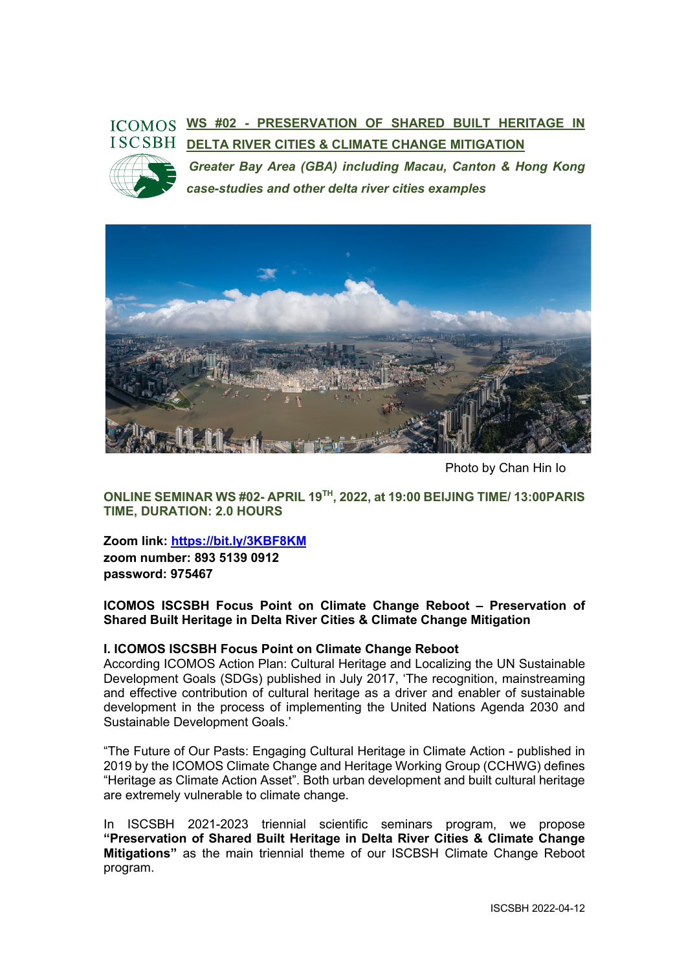# **WS #02 - PRESERVATION OF SHARED BUILT HERITAGE IN DELTA RIVER CITIES & CLIMATE CHANGE MITIGATION**



*Greater Bay Area (GBA) including Macau, Canton & Hong Kong case-studies and other delta river cities examples*



Photo by Chan Hin Io

**ONLINE SEMINAR WS #02- APRIL 19TH, 2022, at 19:00 BEIJING TIME/ 13:00PARIS TIME, DURATION: 2.0 HOURS**

**Zoom link: https://bit.ly/3KBF8KM**

**zoom number: 893 5139 0912 password: 975467**

**ICOMOS ISCSBH Focus Point on Climate Change Reboot – Preservation of Shared Built Heritage in Delta River Cities & Climate Change Mitigation**

#### **I. ICOMOS ISCSBH Focus Point on Climate Change Reboot**

According ICOMOS Action Plan: Cultural Heritage and Localizing the UN Sustainable Development Goals (SDGs) published in July 2017, 'The recognition, mainstreaming and effective contribution of cultural heritage as a driver and enabler of sustainable development in the process of implementing the United Nations Agenda 2030 and Sustainable Development Goals.'

"The Future of Our Pasts: Engaging Cultural Heritage in Climate Action - published in 2019 by the ICOMOS Climate Change and Heritage Working Group (CCHWG) defines "Heritage as Climate Action Asset". Both urban development and built cultural heritage are extremely vulnerable to climate change.

In ISCSBH 2021-2023 triennial scientific seminars program, we propose **"Preservation of Shared Built Heritage in Delta River Cities & Climate Change Mitigations"** as the main triennial theme of our ISCBSH Climate Change Reboot program.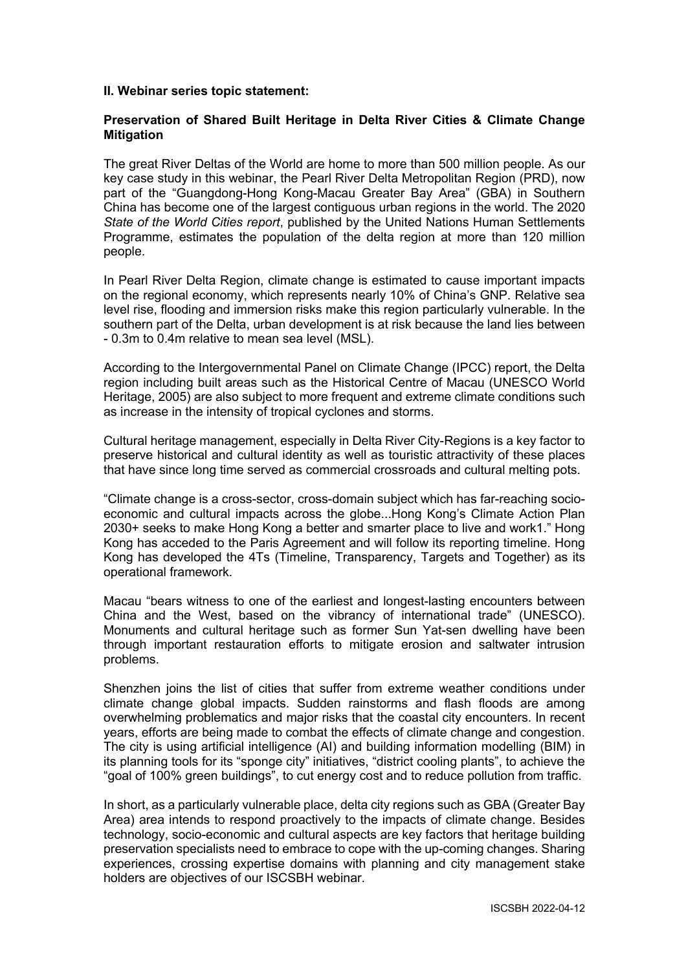#### **II. Webinar series topic statement:**

#### **Preservation of Shared Built Heritage in Delta River Cities & Climate Change Mitigation**

The great River Deltas of the World are home to more than 500 million people. As our key case study in this webinar, the Pearl River Delta Metropolitan Region (PRD), now part of the "Guangdong-Hong Kong-Macau Greater Bay Area" (GBA) in Southern China has become one of the largest contiguous urban regions in the world. The 2020 *State of the World Cities report*, published by the United Nations Human Settlements Programme, estimates the population of the delta region at more than 120 million people.

In Pearl River Delta Region, climate change is estimated to cause important impacts on the regional economy, which represents nearly 10% of China's GNP. Relative sea level rise, flooding and immersion risks make this region particularly vulnerable. In the southern part of the Delta, urban development is at risk because the land lies between - 0.3m to 0.4m relative to mean sea level (MSL).

According to the Intergovernmental Panel on Climate Change (IPCC) report, the Delta region including built areas such as the Historical Centre of Macau (UNESCO World Heritage, 2005) are also subject to more frequent and extreme climate conditions such as increase in the intensity of tropical cyclones and storms.

Cultural heritage management, especially in Delta River City-Regions is a key factor to preserve historical and cultural identity as well as touristic attractivity of these places that have since long time served as commercial crossroads and cultural melting pots.

"Climate change is a cross-sector, cross-domain subject which has far-reaching socioeconomic and cultural impacts across the globe...Hong Kong's Climate Action Plan 2030+ seeks to make Hong Kong a better and smarter place to live and work1." Hong Kong has acceded to the Paris Agreement and will follow its reporting timeline. Hong Kong has developed the 4Ts (Timeline, Transparency, Targets and Together) as its operational framework.

Macau "bears witness to one of the earliest and longest-lasting encounters between China and the West, based on the vibrancy of international trade" (UNESCO). Monuments and cultural heritage such as former Sun Yat-sen dwelling have been through important restauration efforts to mitigate erosion and saltwater intrusion problems.

Shenzhen joins the list of cities that suffer from extreme weather conditions under climate change global impacts. Sudden rainstorms and flash floods are among overwhelming problematics and major risks that the coastal city encounters. In recent years, efforts are being made to combat the effects of climate change and congestion. The city is using artificial intelligence (AI) and building information modelling (BIM) in its planning tools for its "sponge city" initiatives, "district cooling plants", to achieve the "goal of 100% green buildings", to cut energy cost and to reduce pollution from traffic.

In short, as a particularly vulnerable place, delta city regions such as GBA (Greater Bay Area) area intends to respond proactively to the impacts of climate change. Besides technology, socio-economic and cultural aspects are key factors that heritage building preservation specialists need to embrace to cope with the up-coming changes. Sharing experiences, crossing expertise domains with planning and city management stake holders are objectives of our ISCSBH webinar.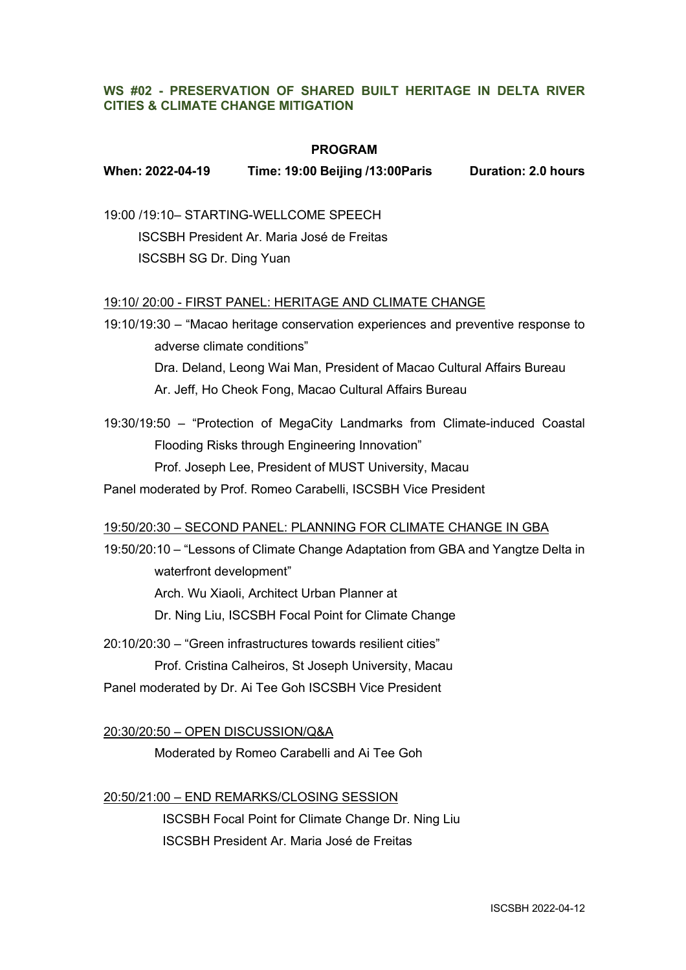# **WS #02 - PRESERVATION OF SHARED BUILT HERITAGE IN DELTA RIVER CITIES & CLIMATE CHANGE MITIGATION**

#### **PROGRAM**

# **When: 2022-04-19 Time: 19:00 Beijing /13:00Paris Duration: 2.0 hours**

19:00 /19:10– STARTING-WELLCOME SPEECH

ISCSBH President Ar. Maria José de Freitas ISCSBH SG Dr. Ding Yuan

#### 19:10/ 20:00 - FIRST PANEL: HERITAGE AND CLIMATE CHANGE

19:10/19:30 – "Macao heritage conservation experiences and preventive response to adverse climate conditions" Dra. Deland, Leong Wai Man, President of Macao Cultural Affairs Bureau Ar. Jeff, Ho Cheok Fong, Macao Cultural Affairs Bureau

19:30/19:50 – "Protection of MegaCity Landmarks from Climate-induced Coastal Flooding Risks through Engineering Innovation" Prof. Joseph Lee, President of MUST University, Macau

Panel moderated by Prof. Romeo Carabelli, ISCSBH Vice President

#### 19:50/20:30 – SECOND PANEL: PLANNING FOR CLIMATE CHANGE IN GBA

19:50/20:10 – "Lessons of Climate Change Adaptation from GBA and Yangtze Delta in waterfront development" Arch. Wu Xiaoli, Architect Urban Planner at Dr. Ning Liu, ISCSBH Focal Point for Climate Change

20:10/20:30 – "Green infrastructures towards resilient cities" Prof. Cristina Calheiros, St Joseph University, Macau Panel moderated by Dr. Ai Tee Goh ISCSBH Vice President

20:30/20:50 – OPEN DISCUSSION/Q&A

Moderated by Romeo Carabelli and Ai Tee Goh

#### 20:50/21:00 – END REMARKS/CLOSING SESSION

ISCSBH Focal Point for Climate Change Dr. Ning Liu ISCSBH President Ar. Maria José de Freitas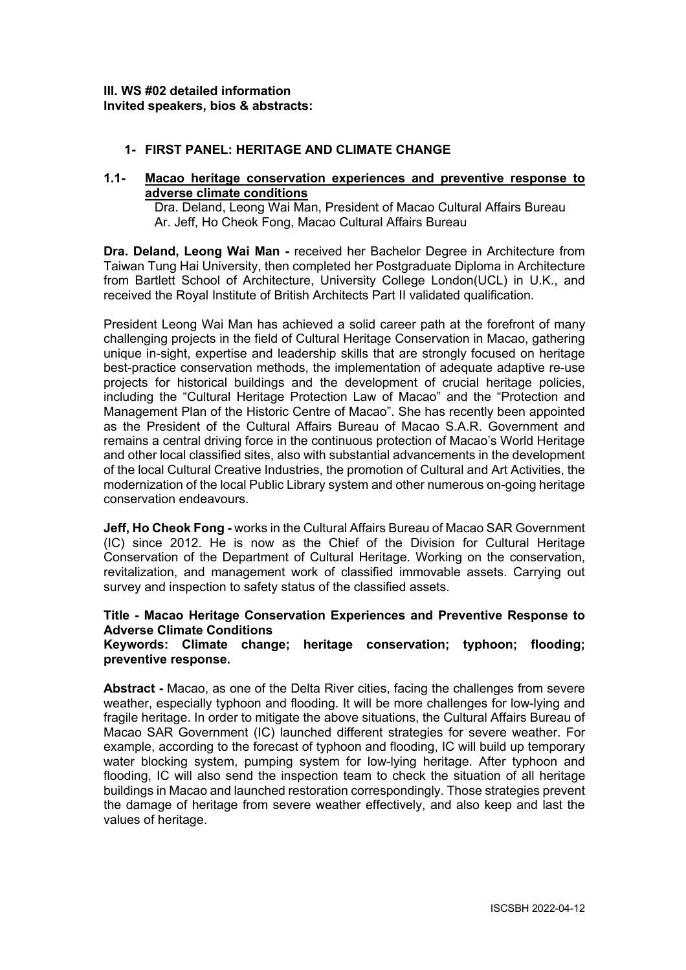# **1- FIRST PANEL: HERITAGE AND CLIMATE CHANGE**

#### **1.1- Macao heritage conservation experiences and preventive response to adverse climate conditions**

Dra. Deland, Leong Wai Man, President of Macao Cultural Affairs Bureau Ar. Jeff, Ho Cheok Fong, Macao Cultural Affairs Bureau

**Dra. Deland, Leong Wai Man -** received her Bachelor Degree in Architecture from Taiwan Tung Hai University, then completed her Postgraduate Diploma in Architecture from Bartlett School of Architecture, University College London(UCL) in U.K., and received the Royal Institute of British Architects Part II validated qualification.

President Leong Wai Man has achieved a solid career path at the forefront of many challenging projects in the field of Cultural Heritage Conservation in Macao, gathering unique in-sight, expertise and leadership skills that are strongly focused on heritage best-practice conservation methods, the implementation of adequate adaptive re-use projects for historical buildings and the development of crucial heritage policies, including the "Cultural Heritage Protection Law of Macao" and the "Protection and Management Plan of the Historic Centre of Macao". She has recently been appointed as the President of the Cultural Affairs Bureau of Macao S.A.R. Government and remains a central driving force in the continuous protection of Macao's World Heritage and other local classified sites, also with substantial advancements in the development of the local Cultural Creative Industries, the promotion of Cultural and Art Activities, the modernization of the local Public Library system and other numerous on-going heritage conservation endeavours.

**Jeff, Ho Cheok Fong -** works in the Cultural Affairs Bureau of Macao SAR Government (IC) since 2012. He is now as the Chief of the Division for Cultural Heritage Conservation of the Department of Cultural Heritage. Working on the conservation, revitalization, and management work of classified immovable assets. Carrying out survey and inspection to safety status of the classified assets.

# **Title - Macao Heritage Conservation Experiences and Preventive Response to Adverse Climate Conditions**

#### **Keywords: Climate change; heritage conservation; typhoon; flooding; preventive response.**

**Abstract -** Macao, as one of the Delta River cities, facing the challenges from severe weather, especially typhoon and flooding. It will be more challenges for low-lying and fragile heritage. In order to mitigate the above situations, the Cultural Affairs Bureau of Macao SAR Government (IC) launched different strategies for severe weather. For example, according to the forecast of typhoon and flooding, IC will build up temporary water blocking system, pumping system for low-lying heritage. After typhoon and flooding, IC will also send the inspection team to check the situation of all heritage buildings in Macao and launched restoration correspondingly. Those strategies prevent the damage of heritage from severe weather effectively, and also keep and last the values of heritage.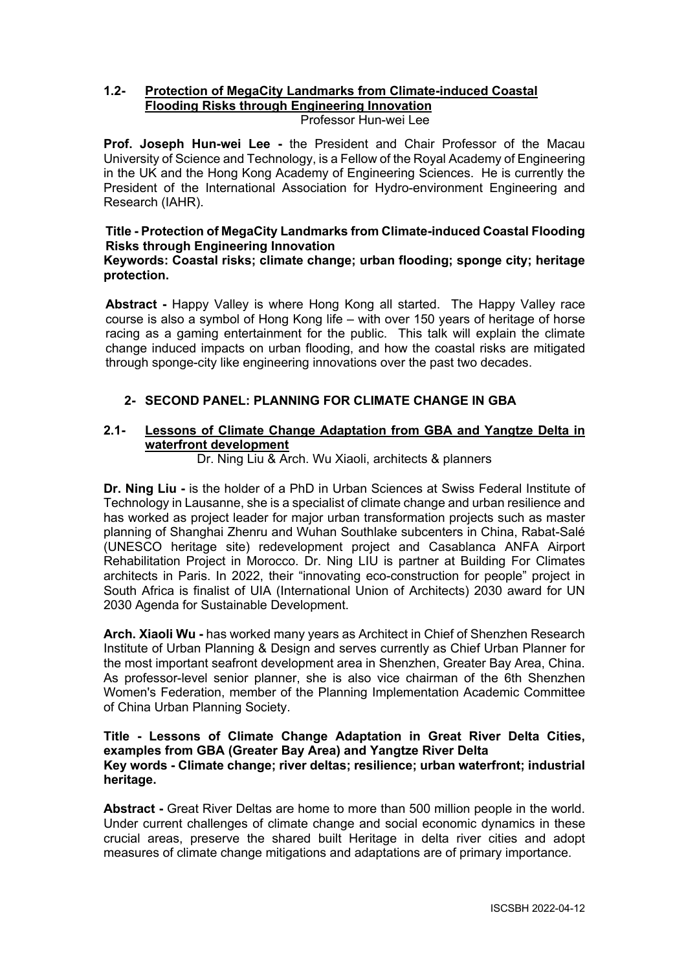# **1.2- Protection of MegaCity Landmarks from Climate-induced Coastal Flooding Risks through Engineering Innovation**

Professor Hun-wei Lee

**Prof. Joseph Hun-wei Lee -** the President and Chair Professor of the Macau University of Science and Technology, is a Fellow of the Royal Academy of Engineering in the UK and the Hong Kong Academy of Engineering Sciences. He is currently the President of the International Association for Hydro-environment Engineering and Research (IAHR).

# **Title - Protection of MegaCity Landmarks from Climate-induced Coastal Flooding Risks through Engineering Innovation**

# **Keywords: Coastal risks; climate change; urban flooding; sponge city; heritage protection.**

**Abstract -** Happy Valley is where Hong Kong all started. The Happy Valley race course is also a symbol of Hong Kong life – with over 150 years of heritage of horse racing as a gaming entertainment for the public. This talk will explain the climate change induced impacts on urban flooding, and how the coastal risks are mitigated through sponge-city like engineering innovations over the past two decades.

# **2- SECOND PANEL: PLANNING FOR CLIMATE CHANGE IN GBA**

# **2.1- Lessons of Climate Change Adaptation from GBA and Yangtze Delta in waterfront development**

Dr. Ning Liu & Arch. Wu Xiaoli, architects & planners

**Dr. Ning Liu -** is the holder of a PhD in Urban Sciences at Swiss Federal Institute of Technology in Lausanne, she is a specialist of climate change and urban resilience and has worked as project leader for major urban transformation projects such as master planning of Shanghai Zhenru and Wuhan Southlake subcenters in China, Rabat-Salé (UNESCO heritage site) redevelopment project and Casablanca ANFA Airport Rehabilitation Project in Morocco. Dr. Ning LIU is partner at Building For Climates architects in Paris. In 2022, their "innovating eco-construction for people" project in South Africa is finalist of UIA (International Union of Architects) 2030 award for UN 2030 Agenda for Sustainable Development.

**Arch. Xiaoli Wu -** has worked many years as Architect in Chief of Shenzhen Research Institute of Urban Planning & Design and serves currently as Chief Urban Planner for the most important seafront development area in Shenzhen, Greater Bay Area, China. As professor-level senior planner, she is also vice chairman of the 6th Shenzhen Women's Federation, member of the Planning Implementation Academic Committee of China Urban Planning Society.

#### **Title - Lessons of Climate Change Adaptation in Great River Delta Cities, examples from GBA (Greater Bay Area) and Yangtze River Delta Key words - Climate change; river deltas; resilience; urban waterfront; industrial heritage.**

**Abstract -** Great River Deltas are home to more than 500 million people in the world. Under current challenges of climate change and social economic dynamics in these crucial areas, preserve the shared built Heritage in delta river cities and adopt measures of climate change mitigations and adaptations are of primary importance.